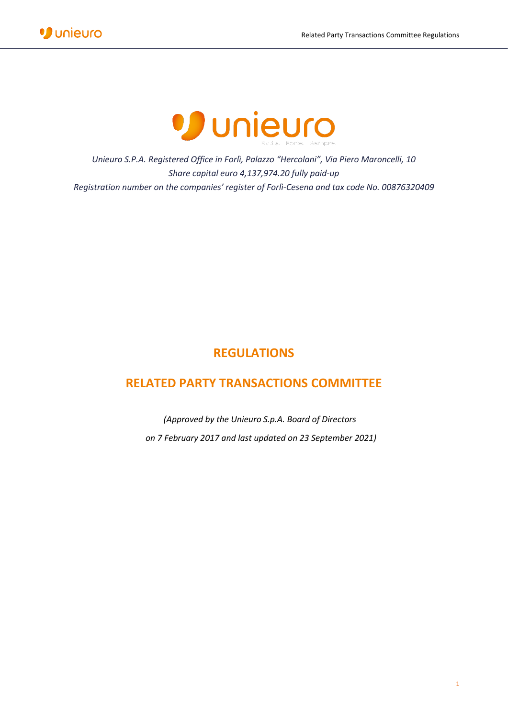

*Unieuro S.P.A. Registered Office in Forlì, Palazzo "Hercolani", Via Piero Maroncelli, 10 Share capital euro 4,137,974.20 fully paid-up Registration number on the companies' register of Forlì-Cesena and tax code No. 00876320409*

# **REGULATIONS**

## **RELATED PARTY TRANSACTIONS COMMITTEE**

*(Approved by the Unieuro S.p.A. Board of Directors on 7 February 2017 and last updated on 23 September 2021)*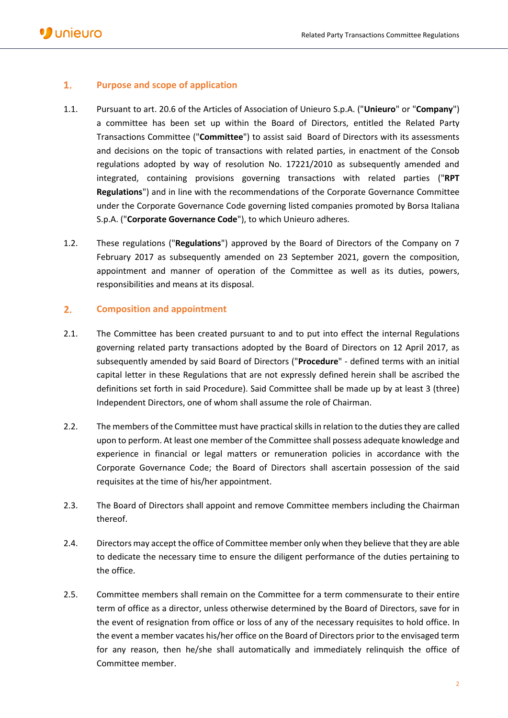## $1.$ **Purpose and scope of application**

- 1.1. Pursuant to art. 20.6 of the Articles of Association of Unieuro S.p.A. ("**Unieuro**" or "**Company**") a committee has been set up within the Board of Directors, entitled the Related Party Transactions Committee ("**Committee**") to assist said Board of Directors with its assessments and decisions on the topic of transactions with related parties, in enactment of the Consob regulations adopted by way of resolution No. 17221/2010 as subsequently amended and integrated, containing provisions governing transactions with related parties ("**RPT Regulations**") and in line with the recommendations of the Corporate Governance Committee under the Corporate Governance Code governing listed companies promoted by Borsa Italiana S.p.A. ("**Corporate Governance Code**"), to which Unieuro adheres.
- 1.2. These regulations ("**Regulations**") approved by the Board of Directors of the Company on 7 February 2017 as subsequently amended on 23 September 2021, govern the composition, appointment and manner of operation of the Committee as well as its duties, powers, responsibilities and means at its disposal.

## $2.$ **Composition and appointment**

- 2.1. The Committee has been created pursuant to and to put into effect the internal Regulations governing related party transactions adopted by the Board of Directors on 12 April 2017, as subsequently amended by said Board of Directors ("**Procedure**" - defined terms with an initial capital letter in these Regulations that are not expressly defined herein shall be ascribed the definitions set forth in said Procedure). Said Committee shall be made up by at least 3 (three) Independent Directors, one of whom shall assume the role of Chairman.
- 2.2. The members of the Committee must have practical skills in relation to the duties they are called upon to perform. At least one member of the Committee shall possess adequate knowledge and experience in financial or legal matters or remuneration policies in accordance with the Corporate Governance Code; the Board of Directors shall ascertain possession of the said requisites at the time of his/her appointment.
- 2.3. The Board of Directors shall appoint and remove Committee members including the Chairman thereof.
- 2.4. Directors may accept the office of Committee member only when they believe that they are able to dedicate the necessary time to ensure the diligent performance of the duties pertaining to the office.
- 2.5. Committee members shall remain on the Committee for a term commensurate to their entire term of office as a director, unless otherwise determined by the Board of Directors, save for in the event of resignation from office or loss of any of the necessary requisites to hold office. In the event a member vacates his/her office on the Board of Directors prior to the envisaged term for any reason, then he/she shall automatically and immediately relinquish the office of Committee member.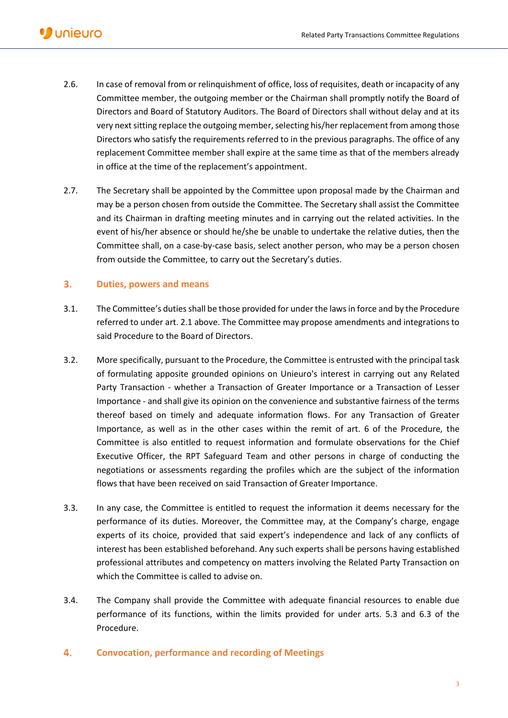- 2.6. In case of removal from or relinquishment of office, loss of requisites, death or incapacity of any Committee member, the outgoing member or the Chairman shall promptly notify the Board of Directors and Board of Statutory Auditors. The Board of Directors shall without delay and at its very next sitting replace the outgoing member, selecting his/her replacement from among those Directors who satisfy the requirements referred to in the previous paragraphs. The office of any replacement Committee member shall expire at the same time as that of the members already in office at the time of the replacement's appointment.
- 2.7. The Secretary shall be appointed by the Committee upon proposal made by the Chairman and may be a person chosen from outside the Committee. The Secretary shall assist the Committee and its Chairman in drafting meeting minutes and in carrying out the related activities. In the event of his/her absence or should he/she be unable to undertake the relative duties, then the Committee shall, on a case-by-case basis, select another person, who may be a person chosen from outside the Committee, to carry out the Secretary's duties.

#### $3.$ **Duties, powers and means**

- 3.1. The Committee's duties shall be those provided for under the laws in force and by the Procedure referred to under art. 2.1 above. The Committee may propose amendments and integrations to said Procedure to the Board of Directors.
- 3.2. More specifically, pursuant to the Procedure, the Committee is entrusted with the principal task of formulating apposite grounded opinions on Unieuro's interest in carrying out any Related Party Transaction - whether a Transaction of Greater Importance or a Transaction of Lesser Importance - and shall give its opinion on the convenience and substantive fairness of the terms thereof based on timely and adequate information flows. For any Transaction of Greater Importance, as well as in the other cases within the remit of art. 6 of the Procedure, the Committee is also entitled to request information and formulate observations for the Chief Executive Officer, the RPT Safeguard Team and other persons in charge of conducting the negotiations or assessments regarding the profiles which are the subject of the information flows that have been received on said Transaction of Greater Importance.
- 3.3. In any case, the Committee is entitled to request the information it deems necessary for the performance of its duties. Moreover, the Committee may, at the Company's charge, engage experts of its choice, provided that said expert's independence and lack of any conflicts of interest has been established beforehand. Any such experts shall be persons having established professional attributes and competency on matters involving the Related Party Transaction on which the Committee is called to advise on.
- 3.4. The Company shall provide the Committee with adequate financial resources to enable due performance of its functions, within the limits provided for under arts. 5.3 and 6.3 of the Procedure.
- $4.$ **Convocation, performance and recording of Meetings**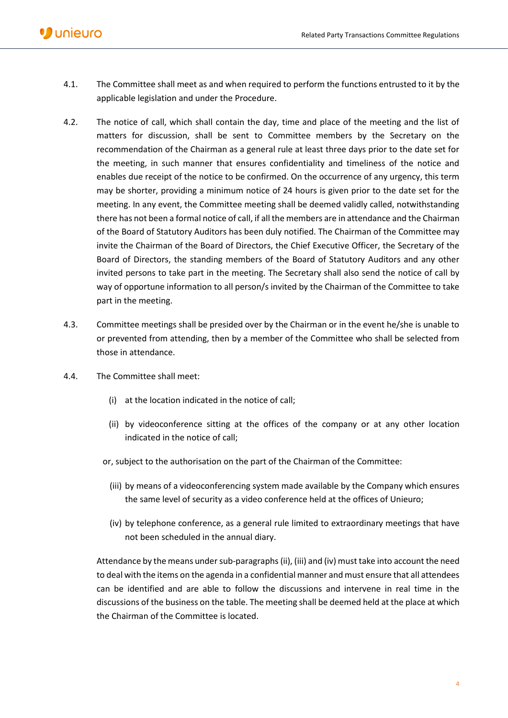- 4.1. The Committee shall meet as and when required to perform the functions entrusted to it by the applicable legislation and under the Procedure.
- 4.2. The notice of call, which shall contain the day, time and place of the meeting and the list of matters for discussion, shall be sent to Committee members by the Secretary on the recommendation of the Chairman as a general rule at least three days prior to the date set for the meeting, in such manner that ensures confidentiality and timeliness of the notice and enables due receipt of the notice to be confirmed. On the occurrence of any urgency, this term may be shorter, providing a minimum notice of 24 hours is given prior to the date set for the meeting. In any event, the Committee meeting shall be deemed validly called, notwithstanding there has not been a formal notice of call, if all the members are in attendance and the Chairman of the Board of Statutory Auditors has been duly notified. The Chairman of the Committee may invite the Chairman of the Board of Directors, the Chief Executive Officer, the Secretary of the Board of Directors, the standing members of the Board of Statutory Auditors and any other invited persons to take part in the meeting. The Secretary shall also send the notice of call by way of opportune information to all person/s invited by the Chairman of the Committee to take part in the meeting.
- 4.3. Committee meetings shall be presided over by the Chairman or in the event he/she is unable to or prevented from attending, then by a member of the Committee who shall be selected from those in attendance.
- 4.4. The Committee shall meet:
	- (i) at the location indicated in the notice of call;
	- (ii) by videoconference sitting at the offices of the company or at any other location indicated in the notice of call;
	- or, subject to the authorisation on the part of the Chairman of the Committee:
		- (iii) by means of a videoconferencing system made available by the Company which ensures the same level of security as a video conference held at the offices of Unieuro;
		- (iv) by telephone conference, as a general rule limited to extraordinary meetings that have not been scheduled in the annual diary.

Attendance by the means under sub-paragraphs(ii), (iii) and (iv) must take into account the need to deal with the items on the agenda in a confidential manner and must ensure that all attendees can be identified and are able to follow the discussions and intervene in real time in the discussions of the business on the table. The meeting shall be deemed held at the place at which the Chairman of the Committee is located.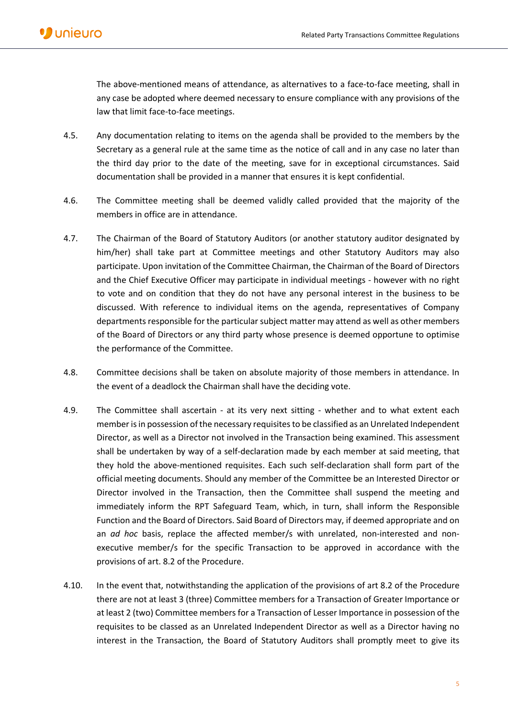The above-mentioned means of attendance, as alternatives to a face-to-face meeting, shall in any case be adopted where deemed necessary to ensure compliance with any provisions of the law that limit face-to-face meetings.

- 4.5. Any documentation relating to items on the agenda shall be provided to the members by the Secretary as a general rule at the same time as the notice of call and in any case no later than the third day prior to the date of the meeting, save for in exceptional circumstances. Said documentation shall be provided in a manner that ensures it is kept confidential.
- 4.6. The Committee meeting shall be deemed validly called provided that the majority of the members in office are in attendance.
- 4.7. The Chairman of the Board of Statutory Auditors (or another statutory auditor designated by him/her) shall take part at Committee meetings and other Statutory Auditors may also participate. Upon invitation of the Committee Chairman, the Chairman of the Board of Directors and the Chief Executive Officer may participate in individual meetings - however with no right to vote and on condition that they do not have any personal interest in the business to be discussed. With reference to individual items on the agenda, representatives of Company departments responsible for the particular subject matter may attend as well as other members of the Board of Directors or any third party whose presence is deemed opportune to optimise the performance of the Committee.
- 4.8. Committee decisions shall be taken on absolute majority of those members in attendance. In the event of a deadlock the Chairman shall have the deciding vote.
- 4.9. The Committee shall ascertain at its very next sitting whether and to what extent each member is in possession of the necessary requisites to be classified as an Unrelated Independent Director, as well as a Director not involved in the Transaction being examined. This assessment shall be undertaken by way of a self-declaration made by each member at said meeting, that they hold the above-mentioned requisites. Each such self-declaration shall form part of the official meeting documents. Should any member of the Committee be an Interested Director or Director involved in the Transaction, then the Committee shall suspend the meeting and immediately inform the RPT Safeguard Team, which, in turn, shall inform the Responsible Function and the Board of Directors. Said Board of Directors may, if deemed appropriate and on an *ad hoc* basis, replace the affected member/s with unrelated, non-interested and nonexecutive member/s for the specific Transaction to be approved in accordance with the provisions of art. 8.2 of the Procedure.
- 4.10. In the event that, notwithstanding the application of the provisions of art 8.2 of the Procedure there are not at least 3 (three) Committee members for a Transaction of Greater Importance or at least 2 (two) Committee members for a Transaction of Lesser Importance in possession of the requisites to be classed as an Unrelated Independent Director as well as a Director having no interest in the Transaction, the Board of Statutory Auditors shall promptly meet to give its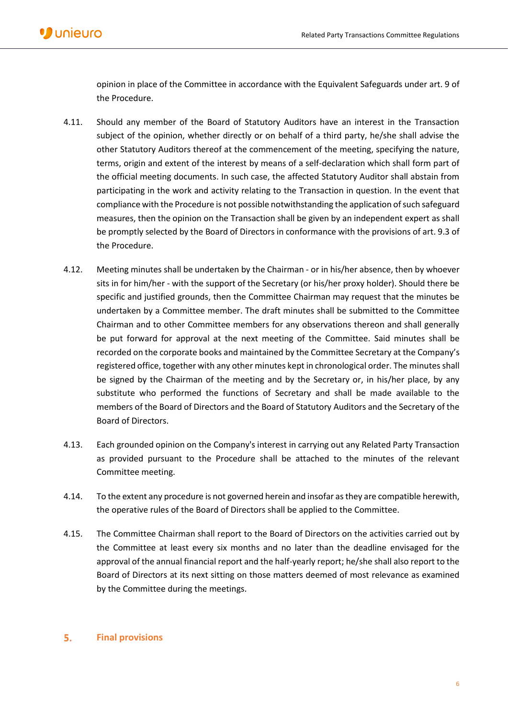opinion in place of the Committee in accordance with the Equivalent Safeguards under art. 9 of the Procedure.

- 4.11. Should any member of the Board of Statutory Auditors have an interest in the Transaction subject of the opinion, whether directly or on behalf of a third party, he/she shall advise the other Statutory Auditors thereof at the commencement of the meeting, specifying the nature, terms, origin and extent of the interest by means of a self-declaration which shall form part of the official meeting documents. In such case, the affected Statutory Auditor shall abstain from participating in the work and activity relating to the Transaction in question. In the event that compliance with the Procedure is not possible notwithstanding the application of such safeguard measures, then the opinion on the Transaction shall be given by an independent expert as shall be promptly selected by the Board of Directors in conformance with the provisions of art. 9.3 of the Procedure.
- 4.12. Meeting minutes shall be undertaken by the Chairman or in his/her absence, then by whoever sits in for him/her - with the support of the Secretary (or his/her proxy holder). Should there be specific and justified grounds, then the Committee Chairman may request that the minutes be undertaken by a Committee member. The draft minutes shall be submitted to the Committee Chairman and to other Committee members for any observations thereon and shall generally be put forward for approval at the next meeting of the Committee. Said minutes shall be recorded on the corporate books and maintained by the Committee Secretary at the Company's registered office, together with any other minutes kept in chronological order. The minutes shall be signed by the Chairman of the meeting and by the Secretary or, in his/her place, by any substitute who performed the functions of Secretary and shall be made available to the members of the Board of Directors and the Board of Statutory Auditors and the Secretary of the Board of Directors.
- 4.13. Each grounded opinion on the Company's interest in carrying out any Related Party Transaction as provided pursuant to the Procedure shall be attached to the minutes of the relevant Committee meeting.
- 4.14. To the extent any procedure is not governed herein and insofar as they are compatible herewith, the operative rules of the Board of Directors shall be applied to the Committee.
- 4.15. The Committee Chairman shall report to the Board of Directors on the activities carried out by the Committee at least every six months and no later than the deadline envisaged for the approval of the annual financial report and the half-yearly report; he/she shall also report to the Board of Directors at its next sitting on those matters deemed of most relevance as examined by the Committee during the meetings.

#### 5. **Final provisions**